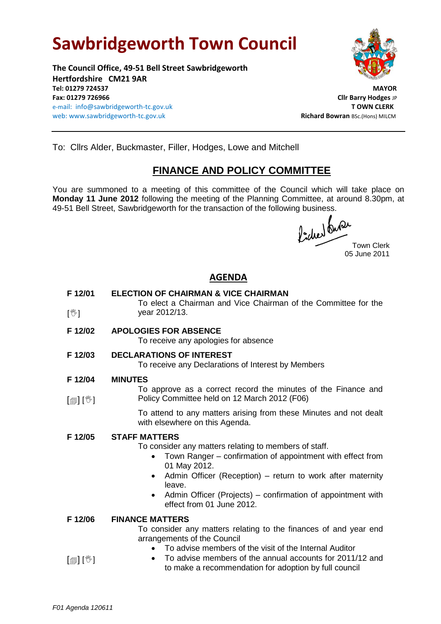# **Sawbridgeworth Town Council**

**The Council Office, 49-51 Bell Street Sawbridgeworth Hertfordshire CM21 9AR Tel: 01279 724537 MAYOR Fax: 01279 726966 Cllr Barry Hodges** JP e-mail: info@sawbridgeworth-tc.gov.uk **T OWN CLERK** web: www.sawbridgeworth-tc.gov.uk and the same and the same of the same **Richard Bowran** BSc.(Hons) MILCM



To: Cllrs Alder, Buckmaster, Filler, Hodges, Lowe and Mitchell

# **FINANCE AND POLICY COMMITTEE**

You are summoned to a meeting of this committee of the Council which will take place on **Monday 11 June 2012** following the meeting of the Planning Committee, at around 8.30pm, at 49-51 Bell Street, Sawbridgeworth for the transaction of the following business.

fiched tures

05 June 2011

## **AGENDA**

| F 12/01<br>$[\mathbb{V}]$  | <b>ELECTION OF CHAIRMAN &amp; VICE CHAIRMAN</b><br>To elect a Chairman and Vice Chairman of the Committee for the<br>year 2012/13.                                                                                                                                                                                                                                     |
|----------------------------|------------------------------------------------------------------------------------------------------------------------------------------------------------------------------------------------------------------------------------------------------------------------------------------------------------------------------------------------------------------------|
| F 12/02                    | <b>APOLOGIES FOR ABSENCE</b><br>To receive any apologies for absence                                                                                                                                                                                                                                                                                                   |
| F 12/03                    | <b>DECLARATIONS OF INTEREST</b><br>To receive any Declarations of Interest by Members                                                                                                                                                                                                                                                                                  |
| F 12/04                    | <b>MINUTES</b>                                                                                                                                                                                                                                                                                                                                                         |
| $\mathbb{D}[\mathbb{D}^1]$ | To approve as a correct record the minutes of the Finance and<br>Policy Committee held on 12 March 2012 (F06)                                                                                                                                                                                                                                                          |
|                            | To attend to any matters arising from these Minutes and not dealt<br>with elsewhere on this Agenda.                                                                                                                                                                                                                                                                    |
| F 12/05                    | <b>STAFF MATTERS</b><br>To consider any matters relating to members of staff.<br>Town Ranger – confirmation of appointment with effect from<br>$\bullet$<br>01 May 2012.<br>Admin Officer (Reception) – return to work after maternity<br>$\bullet$<br>leave.<br>Admin Officer (Projects) – confirmation of appointment with<br>$\bullet$<br>effect from 01 June 2012. |
| F 12/06                    | <b>FINANCE MATTERS</b><br>To consider any matters relating to the finances of and year end<br>arrangements of the Council<br>To advise members of the visit of the Internal Auditor                                                                                                                                                                                    |

 $[\circledast]$   $[\circledast]$  To advise members of the annual accounts for 2011/12 and to make a recommendation for adoption by full council